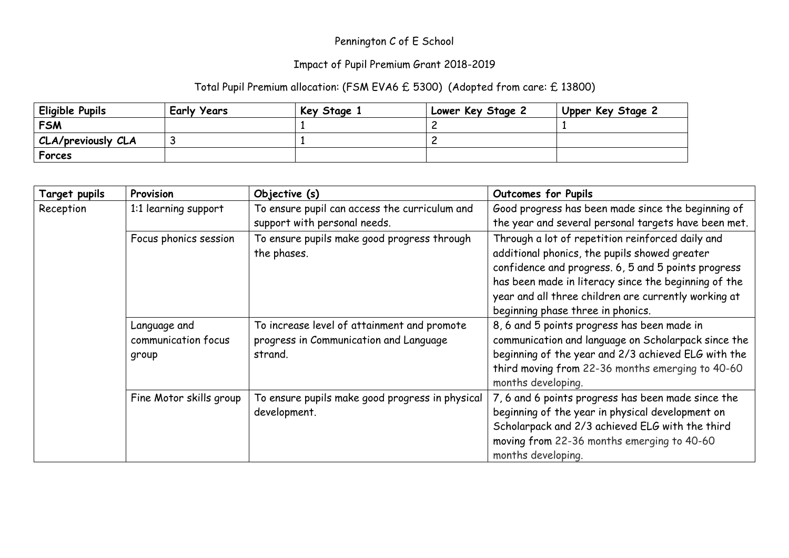## Pennington C of E School

## Impact of Pupil Premium Grant 2018-2019

## Total Pupil Premium allocation: (FSM EVA6 £ 5300) (Adopted from care: £ 13800)

| Eligible Pupils    | <b>Early Years</b> | Key Stage 1 | Lower Key Stage 2 | Upper Key Stage 2 |
|--------------------|--------------------|-------------|-------------------|-------------------|
| <b>FSM</b>         |                    |             |                   |                   |
| CLA/previously CLA |                    |             |                   |                   |
| Forces             |                    |             |                   |                   |

| <b>Target pupils</b> | Provision                                    | Objective (s)                                                                                    | Outcomes for Pupils                                                                                                                                                                                                                                                                                           |
|----------------------|----------------------------------------------|--------------------------------------------------------------------------------------------------|---------------------------------------------------------------------------------------------------------------------------------------------------------------------------------------------------------------------------------------------------------------------------------------------------------------|
| Reception            | 1:1 learning support                         | To ensure pupil can access the curriculum and<br>support with personal needs.                    | Good progress has been made since the beginning of<br>the year and several personal targets have been met.                                                                                                                                                                                                    |
|                      | Focus phonics session                        | To ensure pupils make good progress through<br>the phases.                                       | Through a lot of repetition reinforced daily and<br>additional phonics, the pupils showed greater<br>confidence and progress. 6, 5 and 5 points progress<br>has been made in literacy since the beginning of the<br>year and all three children are currently working at<br>beginning phase three in phonics. |
|                      | Language and<br>communication focus<br>group | To increase level of attainment and promote<br>progress in Communication and Language<br>strand. | 8, 6 and 5 points progress has been made in<br>communication and language on Scholarpack since the<br>beginning of the year and 2/3 achieved ELG with the<br>third moving from 22-36 months emerging to 40-60<br>months developing.                                                                           |
|                      | Fine Motor skills group                      | To ensure pupils make good progress in physical<br>development.                                  | 7, 6 and 6 points progress has been made since the<br>beginning of the year in physical development on<br>Scholarpack and 2/3 achieved ELG with the third<br>moving from 22-36 months emerging to 40-60<br>months developing.                                                                                 |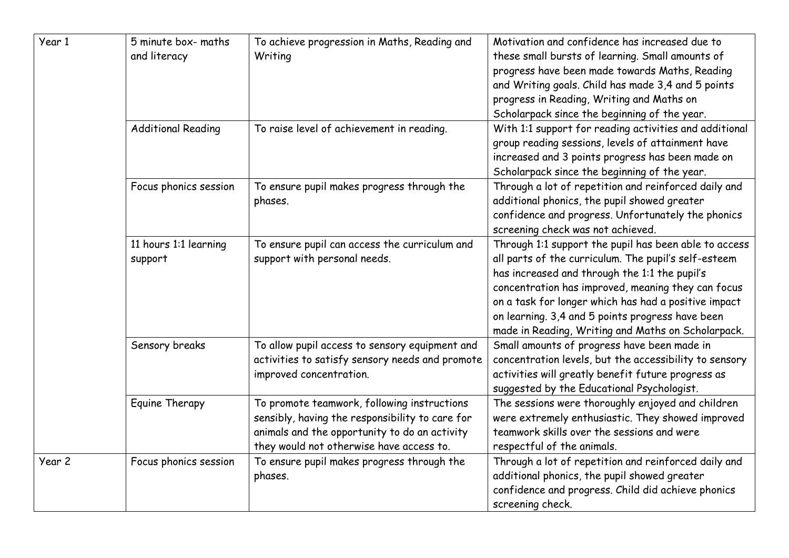| Year 1 | 5 minute box- maths<br>and literacy | To achieve progression in Maths, Reading and<br>Writing                                                                                                                                     | Motivation and confidence has increased due to<br>these small bursts of learning. Small amounts of<br>progress have been made towards Maths, Reading<br>and Writing goals. Child has made 3,4 and 5 points<br>progress in Reading, Writing and Maths on<br>Scholarpack since the beginning of the year.                                                                                |
|--------|-------------------------------------|---------------------------------------------------------------------------------------------------------------------------------------------------------------------------------------------|----------------------------------------------------------------------------------------------------------------------------------------------------------------------------------------------------------------------------------------------------------------------------------------------------------------------------------------------------------------------------------------|
|        | <b>Additional Reading</b>           | To raise level of achievement in reading.                                                                                                                                                   | With 1:1 support for reading activities and additional<br>group reading sessions, levels of attainment have<br>increased and 3 points progress has been made on<br>Scholarpack since the beginning of the year.                                                                                                                                                                        |
|        | Focus phonics session               | To ensure pupil makes progress through the<br>phases.                                                                                                                                       | Through a lot of repetition and reinforced daily and<br>additional phonics, the pupil showed greater<br>confidence and progress. Unfortunately the phonics<br>screening check was not achieved.                                                                                                                                                                                        |
|        | 11 hours 1:1 learning<br>support    | To ensure pupil can access the curriculum and<br>support with personal needs.                                                                                                               | Through 1:1 support the pupil has been able to access<br>all parts of the curriculum. The pupil's self-esteem<br>has increased and through the 1:1 the pupil's<br>concentration has improved, meaning they can focus<br>on a task for longer which has had a positive impact<br>on learning. 3,4 and 5 points progress have been<br>made in Reading, Writing and Maths on Scholarpack. |
|        | Sensory breaks                      | To allow pupil access to sensory equipment and<br>activities to satisfy sensory needs and promote<br>improved concentration.                                                                | Small amounts of progress have been made in<br>concentration levels, but the accessibility to sensory<br>activities will greatly benefit future progress as<br>suggested by the Educational Psychologist.                                                                                                                                                                              |
|        | Equine Therapy                      | To promote teamwork, following instructions<br>sensibly, having the responsibility to care for<br>animals and the opportunity to do an activity<br>they would not otherwise have access to. | The sessions were thoroughly enjoyed and children<br>were extremely enthusiastic. They showed improved<br>teamwork skills over the sessions and were<br>respectful of the animals.                                                                                                                                                                                                     |
| Year 2 | Focus phonics session               | To ensure pupil makes progress through the<br>phases.                                                                                                                                       | Through a lot of repetition and reinforced daily and<br>additional phonics, the pupil showed greater<br>confidence and progress. Child did achieve phonics<br>screening check.                                                                                                                                                                                                         |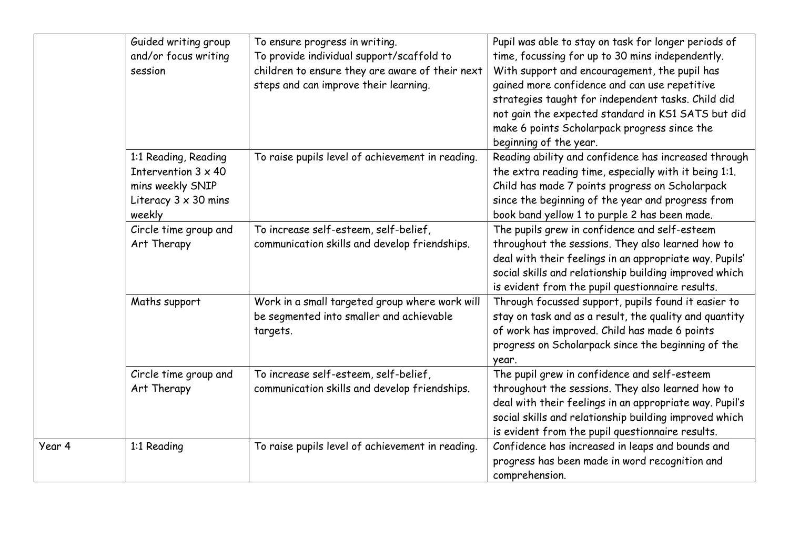|        | Guided writing group<br>and/or focus writing<br>session                                                         | To ensure progress in writing.<br>To provide individual support/scaffold to<br>children to ensure they are aware of their next<br>steps and can improve their learning. | Pupil was able to stay on task for longer periods of<br>time, focussing for up to 30 mins independently.<br>With support and encouragement, the pupil has<br>gained more confidence and can use repetitive<br>strategies taught for independent tasks. Child did<br>not gain the expected standard in KS1 SATS but did<br>make 6 points Scholarpack progress since the<br>beginning of the year. |
|--------|-----------------------------------------------------------------------------------------------------------------|-------------------------------------------------------------------------------------------------------------------------------------------------------------------------|--------------------------------------------------------------------------------------------------------------------------------------------------------------------------------------------------------------------------------------------------------------------------------------------------------------------------------------------------------------------------------------------------|
|        | 1:1 Reading, Reading<br>Intervention $3 \times 40$<br>mins weekly SNIP<br>Literacy $3 \times 30$ mins<br>weekly | To raise pupils level of achievement in reading.                                                                                                                        | Reading ability and confidence has increased through<br>the extra reading time, especially with it being 1:1.<br>Child has made 7 points progress on Scholarpack<br>since the beginning of the year and progress from<br>book band yellow 1 to purple 2 has been made.                                                                                                                           |
|        | Circle time group and<br>Art Therapy                                                                            | To increase self-esteem, self-belief,<br>communication skills and develop friendships.                                                                                  | The pupils grew in confidence and self-esteem<br>throughout the sessions. They also learned how to<br>deal with their feelings in an appropriate way. Pupils'<br>social skills and relationship building improved which<br>is evident from the pupil questionnaire results.                                                                                                                      |
|        | Maths support                                                                                                   | Work in a small targeted group where work will<br>be segmented into smaller and achievable<br>targets.                                                                  | Through focussed support, pupils found it easier to<br>stay on task and as a result, the quality and quantity<br>of work has improved. Child has made 6 points<br>progress on Scholarpack since the beginning of the<br>year.                                                                                                                                                                    |
|        | Circle time group and<br>Art Therapy                                                                            | To increase self-esteem, self-belief,<br>communication skills and develop friendships.                                                                                  | The pupil grew in confidence and self-esteem<br>throughout the sessions. They also learned how to<br>deal with their feelings in an appropriate way. Pupil's<br>social skills and relationship building improved which<br>is evident from the pupil questionnaire results.                                                                                                                       |
| Year 4 | 1:1 Reading                                                                                                     | To raise pupils level of achievement in reading.                                                                                                                        | Confidence has increased in leaps and bounds and<br>progress has been made in word recognition and<br>comprehension.                                                                                                                                                                                                                                                                             |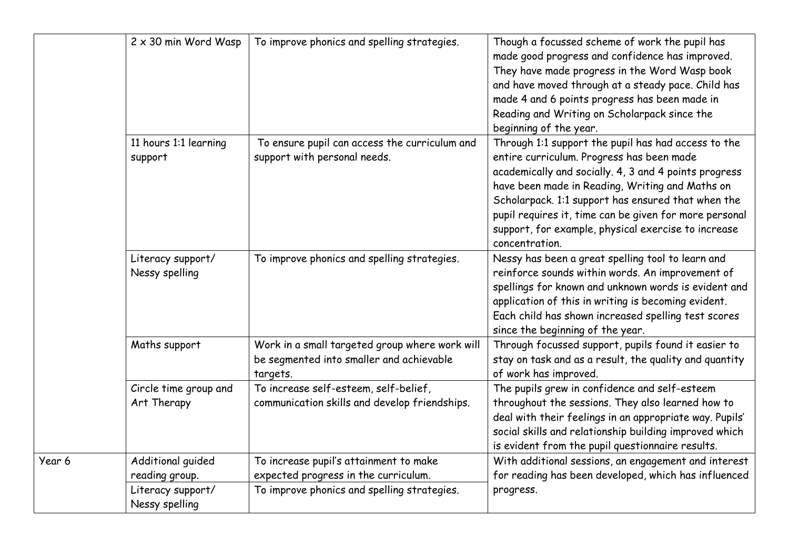|        | $2 \times 30$ min Word Wasp                                                | To improve phonics and spelling strategies.                                                                                   | Though a focussed scheme of work the pupil has<br>made good progress and confidence has improved.<br>They have made progress in the Word Wasp book<br>and have moved through at a steady pace. Child has<br>made 4 and 6 points progress has been made in<br>Reading and Writing on Scholarpack since the<br>beginning of the year.                                                                   |
|--------|----------------------------------------------------------------------------|-------------------------------------------------------------------------------------------------------------------------------|-------------------------------------------------------------------------------------------------------------------------------------------------------------------------------------------------------------------------------------------------------------------------------------------------------------------------------------------------------------------------------------------------------|
|        | 11 hours 1:1 learning<br>support                                           | To ensure pupil can access the curriculum and<br>support with personal needs.                                                 | Through 1:1 support the pupil has had access to the<br>entire curriculum. Progress has been made<br>academically and socially. 4, 3 and 4 points progress<br>have been made in Reading, Writing and Maths on<br>Scholarpack. 1:1 support has ensured that when the<br>pupil requires it, time can be given for more personal<br>support, for example, physical exercise to increase<br>concentration. |
|        | Literacy support/<br>Nessy spelling                                        | To improve phonics and spelling strategies.                                                                                   | Nessy has been a great spelling tool to learn and<br>reinforce sounds within words. An improvement of<br>spellings for known and unknown words is evident and<br>application of this in writing is becoming evident.<br>Each child has shown increased spelling test scores<br>since the beginning of the year.                                                                                       |
|        | Maths support                                                              | Work in a small targeted group where work will<br>be segmented into smaller and achievable<br>targets.                        | Through focussed support, pupils found it easier to<br>stay on task and as a result, the quality and quantity<br>of work has improved.                                                                                                                                                                                                                                                                |
|        | Circle time group and<br>Art Therapy                                       | To increase self-esteem, self-belief,<br>communication skills and develop friendships.                                        | The pupils grew in confidence and self-esteem<br>throughout the sessions. They also learned how to<br>deal with their feelings in an appropriate way. Pupils'<br>social skills and relationship building improved which<br>is evident from the pupil questionnaire results.                                                                                                                           |
| Year 6 | Additional guided<br>reading group.<br>Literacy support/<br>Nessy spelling | To increase pupil's attainment to make<br>expected progress in the curriculum.<br>To improve phonics and spelling strategies. | With additional sessions, an engagement and interest<br>for reading has been developed, which has influenced<br>progress.                                                                                                                                                                                                                                                                             |